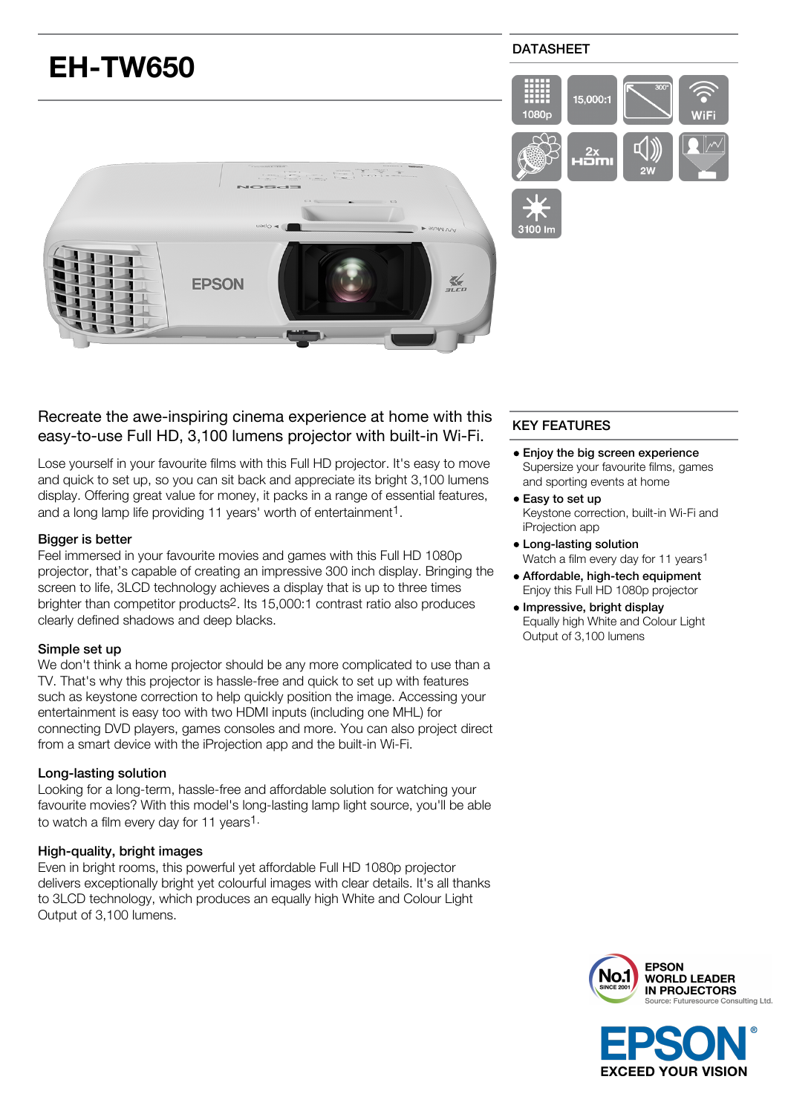

# Recreate the awe-inspiring cinema experience at home with this easy-to-use Full HD, 3,100 lumens projector with built-in Wi-Fi.

Lose yourself in your favourite films with this Full HD projector. It's easy to move and quick to set up, so you can sit back and appreciate its bright 3,100 lumens display. Offering great value for money, it packs in a range of essential features, and a long lamp life providing 11 years' worth of entertainment<sup>1</sup>.

## Bigger is better

Feel immersed in your favourite movies and games with this Full HD 1080p projector, that's capable of creating an impressive 300 inch display. Bringing the screen to life, 3LCD technology achieves a display that is up to three times brighter than competitor products2. Its 15,000:1 contrast ratio also produces clearly defined shadows and deep blacks.

### Simple set up

We don't think a home projector should be any more complicated to use than a TV. That's why this projector is hassle-free and quick to set up with features such as keystone correction to help quickly position the image. Accessing your entertainment is easy too with two HDMI inputs (including one MHL) for connecting DVD players, games consoles and more. You can also project direct from a smart device with the iProjection app and the built-in Wi-Fi.

# Long-lasting solution

Looking for a long-term, hassle-free and affordable solution for watching your favourite movies? With this model's long-lasting lamp light source, you'll be able to watch a film every day for 11 years1.

### High-quality, bright images

Even in bright rooms, this powerful yet affordable Full HD 1080p projector delivers exceptionally bright yet colourful images with clear details. It's all thanks to 3LCD technology, which produces an equally high White and Colour Light Output of 3,100 lumens.

# KEY FEATURES

- Enjoy the big screen experience Supersize your favourite films, games and sporting events at home
- Easy to set up Keystone correction, built-in Wi-Fi and iProjection app
- Long-lasting solution Watch a film every day for 11 years<sup>1</sup>
- Affordable, high-tech equipment Enjoy this Full HD 1080p projector
- Impressive, bright display Equally high White and Colour Light Output of 3,100 lumens



**EXCEED YOUR VISION**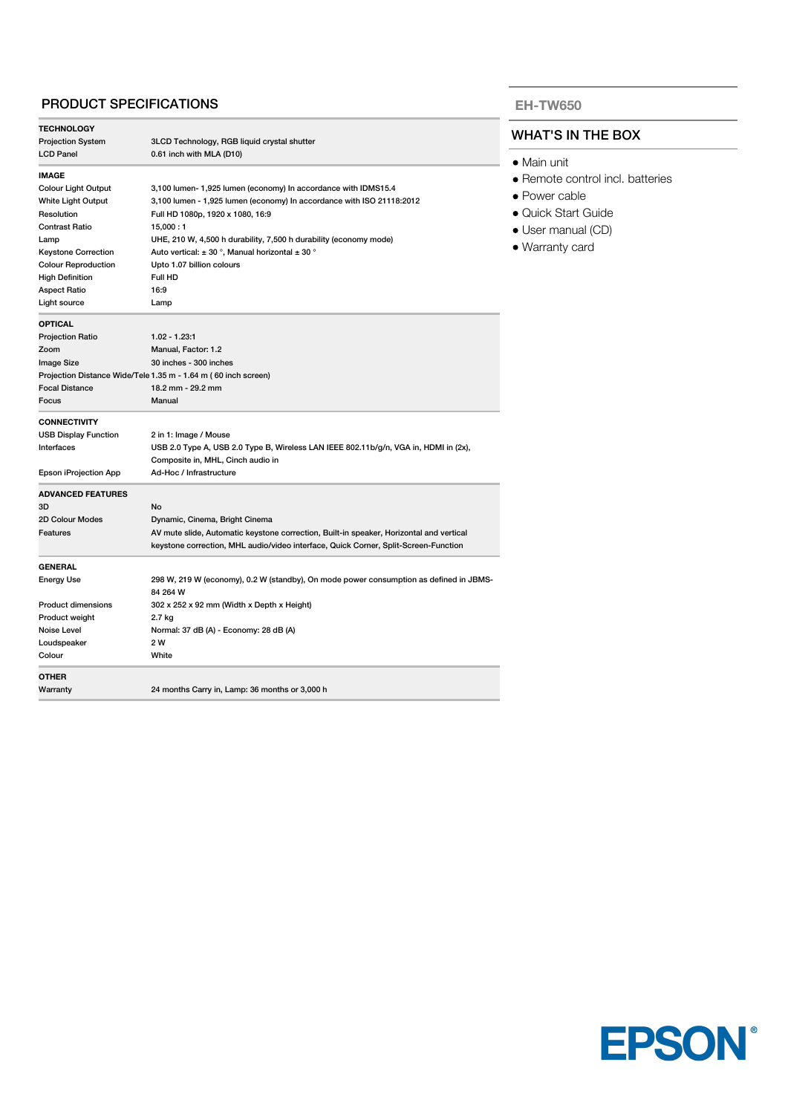# PRODUCT SPECIFICATIONS

| <b>TECHNOLOGY</b>           |                                                                                         |  |
|-----------------------------|-----------------------------------------------------------------------------------------|--|
| <b>Projection System</b>    | 3LCD Technology, RGB liquid crystal shutter                                             |  |
| <b>LCD Panel</b>            | 0.61 inch with MLA (D10)                                                                |  |
| <b>IMAGE</b>                |                                                                                         |  |
| <b>Colour Light Output</b>  | 3,100 lumen- 1,925 lumen (economy) In accordance with IDMS15.4                          |  |
| White Light Output          | 3,100 lumen - 1,925 lumen (economy) In accordance with ISO 21118:2012                   |  |
| Resolution                  | Full HD 1080p, 1920 x 1080, 16:9                                                        |  |
| <b>Contrast Ratio</b>       | 15,000:1                                                                                |  |
| Lamp                        | UHE, 210 W, 4,500 h durability, 7,500 h durability (economy mode)                       |  |
| <b>Keystone Correction</b>  | Auto vertical: $\pm$ 30 °, Manual horizontal $\pm$ 30 °                                 |  |
| <b>Colour Reproduction</b>  | Upto 1.07 billion colours                                                               |  |
| <b>High Definition</b>      | Full HD                                                                                 |  |
| <b>Aspect Ratio</b>         | 16:9                                                                                    |  |
| Light source                | Lamp                                                                                    |  |
| <b>OPTICAL</b>              |                                                                                         |  |
| <b>Projection Ratio</b>     | $1.02 - 1.23.1$                                                                         |  |
| Zoom                        | Manual, Factor: 1.2                                                                     |  |
| <b>Image Size</b>           | 30 inches - 300 inches                                                                  |  |
|                             | Projection Distance Wide/Tele 1.35 m - 1.64 m (60 inch screen)                          |  |
| <b>Focal Distance</b>       | 18.2 mm - 29.2 mm                                                                       |  |
| Focus                       | Manual                                                                                  |  |
| <b>CONNECTIVITY</b>         |                                                                                         |  |
| <b>USB Display Function</b> | 2 in 1: Image / Mouse                                                                   |  |
| Interfaces                  | USB 2.0 Type A, USB 2.0 Type B, Wireless LAN IEEE 802.11b/g/n, VGA in, HDMI in (2x),    |  |
|                             | Composite in, MHL, Cinch audio in                                                       |  |
| Epson iProjection App       | Ad-Hoc / Infrastructure                                                                 |  |
| <b>ADVANCED FEATURES</b>    |                                                                                         |  |
| 3D                          | No                                                                                      |  |
| 2D Colour Modes             | Dynamic, Cinema, Bright Cinema                                                          |  |
| Features                    | AV mute slide, Automatic keystone correction, Built-in speaker, Horizontal and vertical |  |
|                             | keystone correction, MHL audio/video interface, Quick Corner, Split-Screen-Function     |  |
| <b>GENERAL</b>              |                                                                                         |  |
| <b>Energy Use</b>           | 298 W, 219 W (economy), 0.2 W (standby), On mode power consumption as defined in JBMS-  |  |
|                             | 84 264 W                                                                                |  |
| <b>Product dimensions</b>   | 302 x 252 x 92 mm (Width x Depth x Height)                                              |  |
| Product weight              | 2.7 kg                                                                                  |  |
| Noise Level                 | Normal: 37 dB (A) - Economy: 28 dB (A)                                                  |  |
| Loudspeaker                 | 2 W                                                                                     |  |
| Colour                      | White                                                                                   |  |
| <b>OTHER</b>                |                                                                                         |  |
| Warranty                    | 24 months Carry in, Lamp: 36 months or 3,000 h                                          |  |
|                             |                                                                                         |  |

#### **EH-TW650**

## WHAT'S IN THE BOX

- Main unit
- Remote control incl. batteries
- Power cable
- Quick Start Guide
- User manual (CD)
- Warranty card